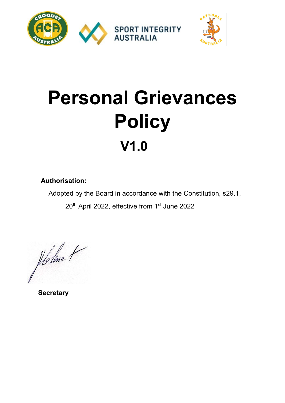

# **Personal Grievances Policy V1.0**

## **Authorisation:**

Adopted by the Board in accordance with the Constitution, s29.1,

20<sup>th</sup> April 2022, effective from 1<sup>st</sup> June 2022

flollne t

 **Secretary**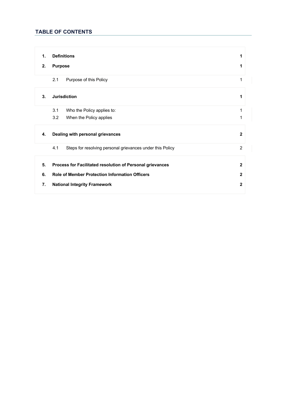### **TABLE OF CONTENTS**

| 1. | <b>Definitions</b>                                               | 1            |
|----|------------------------------------------------------------------|--------------|
| 2. | <b>Purpose</b>                                                   | 1            |
|    | 2.1<br>Purpose of this Policy                                    | 1            |
| 3. | <b>Jurisdiction</b>                                              | 1            |
|    | 3.1<br>Who the Policy applies to:                                | 1            |
|    | 3.2<br>When the Policy applies                                   | 1            |
| 4. | Dealing with personal grievances                                 | $\mathbf{2}$ |
|    | 4.1<br>Steps for resolving personal grievances under this Policy | 2            |
| 5. | Process for Facilitated resolution of Personal grievances        | $\mathbf{2}$ |
| 6. | <b>Role of Member Protection Information Officers</b>            | $\mathbf{2}$ |
| 7. | <b>National Integrity Framework</b>                              | $\mathbf{2}$ |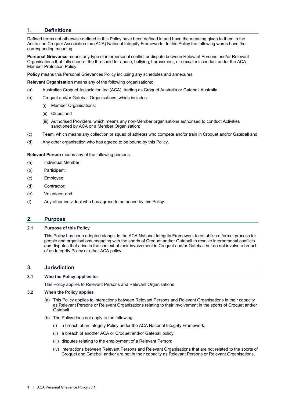#### **1. Definitions**

Defined terms not otherwise defined in this Policy have been defined in and have the meaning given to them in the Australian Croquet Association Inc (ACA) National Integrity Framework. In this Policy the following words have the corresponding meaning:

**Personal Grievance** means any type of interpersonal conflict or dispute between Relevant Persons and/or Relevant Organisations that falls short of the threshold for abuse, bullying, harassment, or sexual misconduct under the ACA Member Protection Policy.

**Policy** means this Personal Grievances Policy including any schedules and annexures.

**Relevant Organisation** means any of the following organisations:

- (a) Australian Croquet Association Inc (ACA), trading as Croquet Australia or Gateball Australia
- (b) Croquet and/or Gateball Organisations, which includes:
	- (i) Member Organisations;
	- (ii) Clubs; and
	- (iii) Authorised Providers, which means any non-Member organisations authorised to conduct Activities sanctioned by ACA or a Member Organisation:
- (c) Team, which means any collection or squad of athletes who compete and/or train in Croquet and/or Gateball and
- (d) Any other organisation who has agreed to be bound by this Policy.

**Relevant Person** means any of the following persons:

- (a) Individual Member;
- (b) Participant;
- (c) Employee;
- (d) Contractor;
- (e) Volunteer; and
- (f) Any other individual who has agreed to be bound by this Policy.

#### **2. Purpose**

#### **2.1 Purpose of this Policy**

This Policy has been adopted alongside the ACA National Integrity Framework to establish a formal process for people and organisations engaging with the sports of Croquet and/or Gateball to resolve interpersonal conflicts and disputes that arise in the context of their involvement in Croquet and/or Gateball but do not involve a breach of an Integrity Policy or other ACA policy.

#### **3. Jurisdiction**

#### **3.1 Who the Policy applies to:**

This Policy applies to Relevant Persons and Relevant Organisations.

#### **3.2 When the Policy applies**

- (a) This Policy applies to interactions between Relevant Persons and Relevant Organisations in their capacity as Relevant Persons or Relevant Organisations relating to their involvement in the sports of Croquet and/or **Gateball**
- (b) The Policy does not apply to the following:
	- (i) a breach of an Integrity Policy under the ACA National Integrity Framework;
	- (ii) a breach of another ACA or Croquet and/or Gateball policy;
	- (iii) disputes relating to the employment of a Relevant Person;
	- (iv) interactions between Relevant Persons and Relevant Organisations that are not related to the sports of Croquet and Gateball and/or are not in their capacity as Relevant Persons or Relevant Organisations.